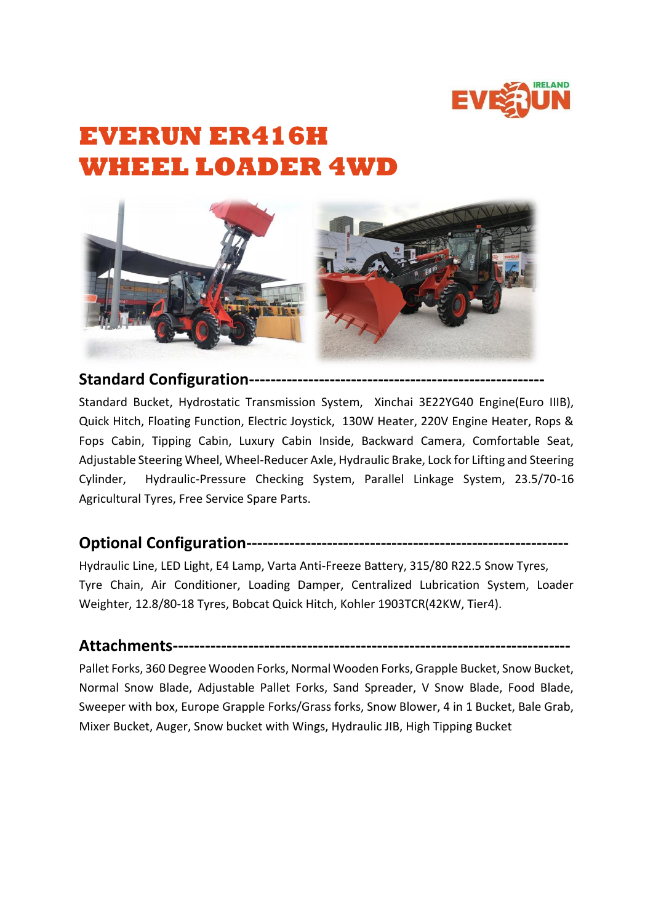

## **EVERUN ER416H WHEEL LOADER 4WD**



**Standard Configuration-------------------------------------------------------**

Standard Bucket, Hydrostatic Transmission System, Xinchai 3E22YG40 Engine(Euro IIIB), Quick Hitch, Floating Function, Electric Joystick, 130W Heater, 220V Engine Heater, Rops & Fops Cabin, Tipping Cabin, Luxury Cabin Inside, Backward Camera, Comfortable Seat, Adjustable Steering Wheel, Wheel-Reducer Axle, Hydraulic Brake, Lock for Lifting and Steering Cylinder, Hydraulic-Pressure Checking System, Parallel Linkage System, 23.5/70-16 Agricultural Tyres, Free Service Spare Parts.

## **Optional Configuration------------------------------------------------------------**

Hydraulic Line, LED Light, E4 Lamp, Varta Anti-Freeze Battery, 315/80 R22.5 Snow Tyres, Tyre Chain, Air Conditioner, Loading Damper, Centralized Lubrication System, Loader Weighter, 12.8/80-18 Tyres, Bobcat Quick Hitch, Kohler 1903TCR(42KW, Tier4).

## **Attachments--------------------------------------------------------------------------**

Pallet Forks, 360 Degree Wooden Forks, Normal Wooden Forks, Grapple Bucket, Snow Bucket, Normal Snow Blade, Adjustable Pallet Forks, Sand Spreader, V Snow Blade, Food Blade, Sweeper with box, Europe Grapple Forks/Grass forks, Snow Blower, 4 in 1 Bucket, Bale Grab, Mixer Bucket, Auger, Snow bucket with Wings, Hydraulic JIB, High Tipping Bucket